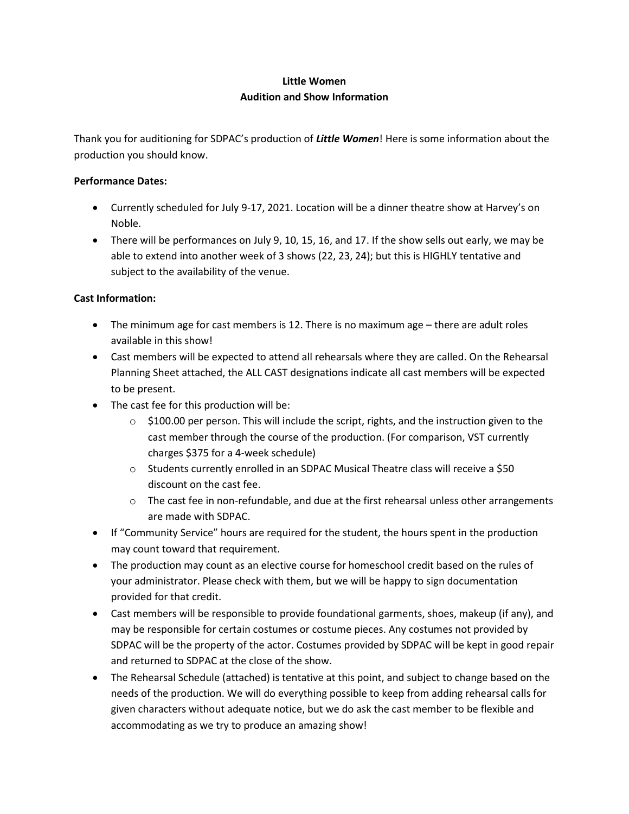# **Little Women Audition and Show Information**

Thank you for auditioning for SDPAC's production of *Little Women*! Here is some information about the production you should know.

#### **Performance Dates:**

- Currently scheduled for July 9-17, 2021. Location will be a dinner theatre show at Harvey's on Noble.
- There will be performances on July 9, 10, 15, 16, and 17. If the show sells out early, we may be able to extend into another week of 3 shows (22, 23, 24); but this is HIGHLY tentative and subject to the availability of the venue.

#### **Cast Information:**

- The minimum age for cast members is 12. There is no maximum age there are adult roles available in this show!
- Cast members will be expected to attend all rehearsals where they are called. On the Rehearsal Planning Sheet attached, the ALL CAST designations indicate all cast members will be expected to be present.
- The cast fee for this production will be:
	- $\circ$  \$100.00 per person. This will include the script, rights, and the instruction given to the cast member through the course of the production. (For comparison, VST currently charges \$375 for a 4-week schedule)
	- o Students currently enrolled in an SDPAC Musical Theatre class will receive a \$50 discount on the cast fee.
	- $\circ$  The cast fee in non-refundable, and due at the first rehearsal unless other arrangements are made with SDPAC.
- If "Community Service" hours are required for the student, the hours spent in the production may count toward that requirement.
- The production may count as an elective course for homeschool credit based on the rules of your administrator. Please check with them, but we will be happy to sign documentation provided for that credit.
- Cast members will be responsible to provide foundational garments, shoes, makeup (if any), and may be responsible for certain costumes or costume pieces. Any costumes not provided by SDPAC will be the property of the actor. Costumes provided by SDPAC will be kept in good repair and returned to SDPAC at the close of the show.
- The Rehearsal Schedule (attached) is tentative at this point, and subject to change based on the needs of the production. We will do everything possible to keep from adding rehearsal calls for given characters without adequate notice, but we do ask the cast member to be flexible and accommodating as we try to produce an amazing show!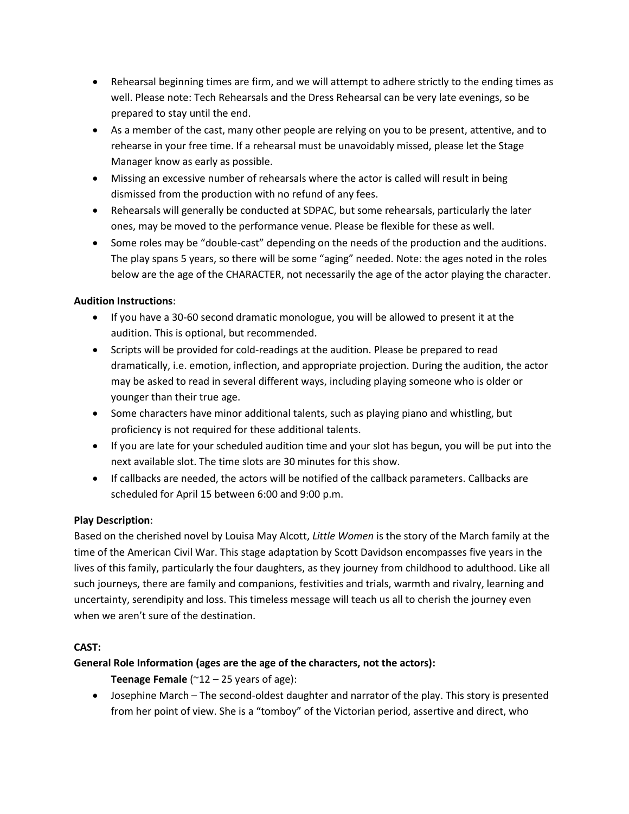- Rehearsal beginning times are firm, and we will attempt to adhere strictly to the ending times as well. Please note: Tech Rehearsals and the Dress Rehearsal can be very late evenings, so be prepared to stay until the end.
- As a member of the cast, many other people are relying on you to be present, attentive, and to rehearse in your free time. If a rehearsal must be unavoidably missed, please let the Stage Manager know as early as possible.
- Missing an excessive number of rehearsals where the actor is called will result in being dismissed from the production with no refund of any fees.
- Rehearsals will generally be conducted at SDPAC, but some rehearsals, particularly the later ones, may be moved to the performance venue. Please be flexible for these as well.
- Some roles may be "double-cast" depending on the needs of the production and the auditions. The play spans 5 years, so there will be some "aging" needed. Note: the ages noted in the roles below are the age of the CHARACTER, not necessarily the age of the actor playing the character.

### **Audition Instructions**:

- If you have a 30-60 second dramatic monologue, you will be allowed to present it at the audition. This is optional, but recommended.
- Scripts will be provided for cold-readings at the audition. Please be prepared to read dramatically, i.e. emotion, inflection, and appropriate projection. During the audition, the actor may be asked to read in several different ways, including playing someone who is older or younger than their true age.
- Some characters have minor additional talents, such as playing piano and whistling, but proficiency is not required for these additional talents.
- If you are late for your scheduled audition time and your slot has begun, you will be put into the next available slot. The time slots are 30 minutes for this show.
- If callbacks are needed, the actors will be notified of the callback parameters. Callbacks are scheduled for April 15 between 6:00 and 9:00 p.m.

# **Play Description**:

Based on the cherished novel by Louisa May Alcott, *Little Women* is the story of the March family at the time of the American Civil War. This stage adaptation by Scott Davidson encompasses five years in the lives of this family, particularly the four daughters, as they journey from childhood to adulthood. Like all such journeys, there are family and companions, festivities and trials, warmth and rivalry, learning and uncertainty, serendipity and loss. This timeless message will teach us all to cherish the journey even when we aren't sure of the destination.

# **CAST:**

# **General Role Information (ages are the age of the characters, not the actors):**

**Teenage Female** ( $^{\sim}12 - 25$  years of age):

• Josephine March – The second-oldest daughter and narrator of the play. This story is presented from her point of view. She is a "tomboy" of the Victorian period, assertive and direct, who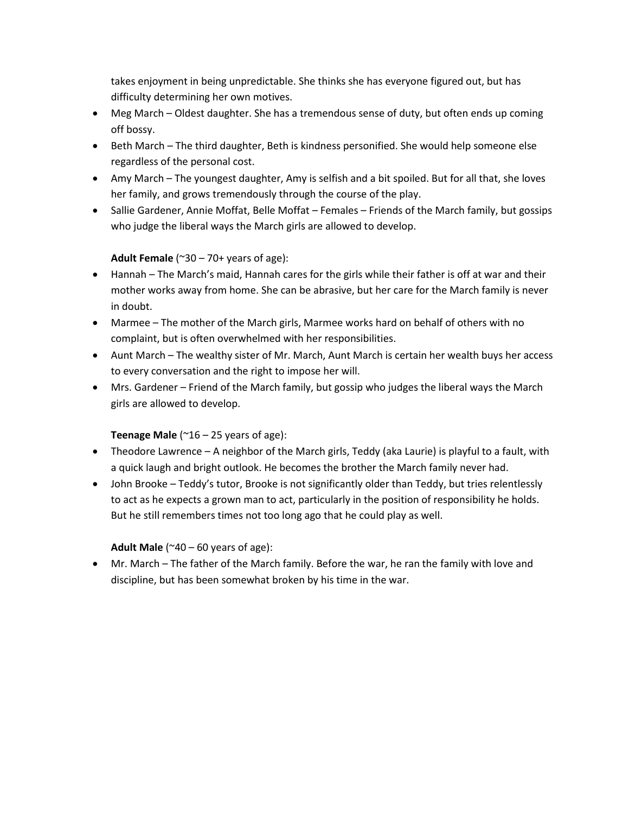takes enjoyment in being unpredictable. She thinks she has everyone figured out, but has difficulty determining her own motives.

- Meg March Oldest daughter. She has a tremendous sense of duty, but often ends up coming off bossy.
- Beth March The third daughter, Beth is kindness personified. She would help someone else regardless of the personal cost.
- Amy March The youngest daughter, Amy is selfish and a bit spoiled. But for all that, she loves her family, and grows tremendously through the course of the play.
- Sallie Gardener, Annie Moffat, Belle Moffat Females Friends of the March family, but gossips who judge the liberal ways the March girls are allowed to develop.

### **Adult Female** (~30 – 70+ years of age):

- Hannah The March's maid, Hannah cares for the girls while their father is off at war and their mother works away from home. She can be abrasive, but her care for the March family is never in doubt.
- Marmee The mother of the March girls, Marmee works hard on behalf of others with no complaint, but is often overwhelmed with her responsibilities.
- Aunt March The wealthy sister of Mr. March, Aunt March is certain her wealth buys her access to every conversation and the right to impose her will.
- Mrs. Gardener Friend of the March family, but gossip who judges the liberal ways the March girls are allowed to develop.

#### **Teenage Male** ( $^{\sim}$ 16 – 25 years of age):

- Theodore Lawrence A neighbor of the March girls, Teddy (aka Laurie) is playful to a fault, with a quick laugh and bright outlook. He becomes the brother the March family never had.
- John Brooke Teddy's tutor, Brooke is not significantly older than Teddy, but tries relentlessly to act as he expects a grown man to act, particularly in the position of responsibility he holds. But he still remembers times not too long ago that he could play as well.

#### **Adult Male** ( $^{\sim}40 - 60$  years of age):

• Mr. March – The father of the March family. Before the war, he ran the family with love and discipline, but has been somewhat broken by his time in the war.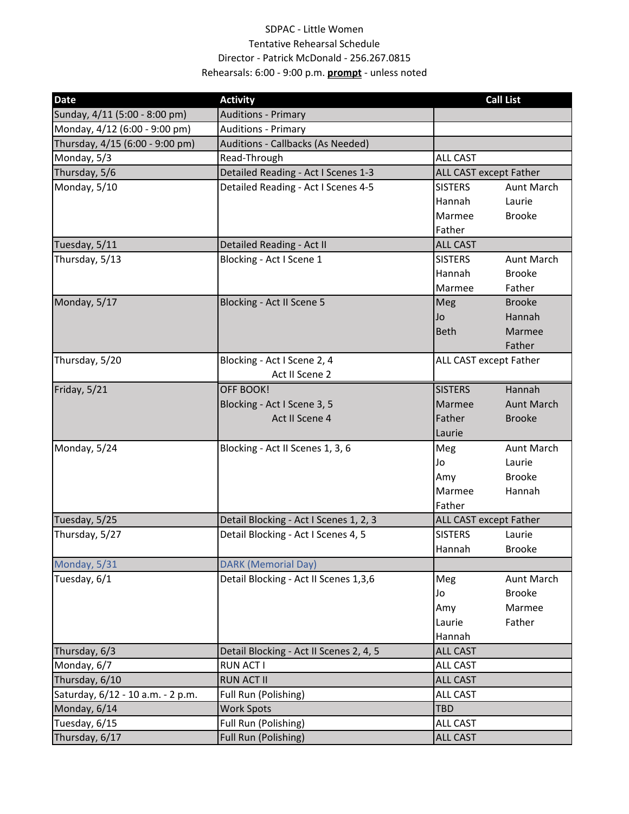# SDPAC ‐ Little Women Tentative Rehearsal Schedule Director ‐ Patrick McDonald ‐ 256.267.0815 Rehearsals: 6:00 ‐ 9:00 p.m. **prompt** ‐ unless noted

| <b>Date</b>                       | <b>Activity</b>                         |                               | <b>Call List</b>              |  |
|-----------------------------------|-----------------------------------------|-------------------------------|-------------------------------|--|
| Sunday, 4/11 (5:00 - 8:00 pm)     | <b>Auditions - Primary</b>              |                               |                               |  |
| Monday, 4/12 (6:00 - 9:00 pm)     | <b>Auditions - Primary</b>              |                               |                               |  |
| Thursday, 4/15 (6:00 - 9:00 pm)   | Auditions - Callbacks (As Needed)       |                               |                               |  |
| Monday, 5/3                       | Read-Through                            | <b>ALL CAST</b>               |                               |  |
| Thursday, 5/6                     | Detailed Reading - Act I Scenes 1-3     | <b>ALL CAST except Father</b> |                               |  |
| Monday, 5/10                      | Detailed Reading - Act I Scenes 4-5     | <b>SISTERS</b>                | <b>Aunt March</b>             |  |
|                                   |                                         | Hannah                        | Laurie                        |  |
|                                   |                                         | Marmee                        | <b>Brooke</b>                 |  |
|                                   |                                         | Father                        |                               |  |
| Tuesday, 5/11                     | Detailed Reading - Act II               | <b>ALL CAST</b>               |                               |  |
| Thursday, 5/13                    | Blocking - Act I Scene 1                | <b>SISTERS</b>                | Aunt March                    |  |
|                                   |                                         | Hannah                        | <b>Brooke</b>                 |  |
|                                   |                                         | Marmee                        | Father                        |  |
| Monday, 5/17                      | Blocking - Act II Scene 5               | Meg                           | <b>Brooke</b>                 |  |
|                                   |                                         | Jo                            | Hannah                        |  |
|                                   |                                         | <b>Beth</b>                   | Marmee                        |  |
|                                   |                                         |                               | Father                        |  |
| Thursday, 5/20                    | Blocking - Act I Scene 2, 4             |                               | ALL CAST except Father        |  |
|                                   | Act II Scene 2                          |                               |                               |  |
| Friday, 5/21                      | OFF BOOK!                               | <b>SISTERS</b>                | Hannah                        |  |
|                                   | Blocking - Act I Scene 3, 5             | Marmee                        | <b>Aunt March</b>             |  |
|                                   | Act II Scene 4                          | Father                        | <b>Brooke</b>                 |  |
|                                   |                                         | Laurie                        |                               |  |
| Monday, 5/24                      | Blocking - Act II Scenes 1, 3, 6        | Meg                           | <b>Aunt March</b>             |  |
|                                   |                                         | Jo                            | Laurie                        |  |
|                                   |                                         | Amy                           | <b>Brooke</b>                 |  |
|                                   |                                         | Marmee                        | Hannah                        |  |
|                                   |                                         | Father                        |                               |  |
| Tuesday, 5/25                     | Detail Blocking - Act I Scenes 1, 2, 3  |                               | <b>ALL CAST except Father</b> |  |
| Thursday, 5/27                    | Detail Blocking - Act I Scenes 4, 5     | <b>SISTERS</b>                | Laurie                        |  |
|                                   |                                         | Hannah                        | <b>Brooke</b>                 |  |
| Monday, 5/31                      | <b>DARK (Memorial Day)</b>              |                               |                               |  |
| Tuesday, 6/1                      | Detail Blocking - Act II Scenes 1,3,6   | Meg                           | Aunt March                    |  |
|                                   |                                         | Jo                            | <b>Brooke</b>                 |  |
|                                   |                                         | Amy                           | Marmee                        |  |
|                                   |                                         | Laurie                        | Father                        |  |
|                                   |                                         | Hannah                        |                               |  |
| Thursday, 6/3                     | Detail Blocking - Act II Scenes 2, 4, 5 | <b>ALL CAST</b>               |                               |  |
| Monday, 6/7                       | <b>RUN ACT I</b>                        | <b>ALL CAST</b>               |                               |  |
| Thursday, 6/10                    | <b>RUN ACT II</b>                       | <b>ALL CAST</b>               |                               |  |
| Saturday, 6/12 - 10 a.m. - 2 p.m. | Full Run (Polishing)                    | <b>ALL CAST</b>               |                               |  |
| Monday, 6/14                      | <b>Work Spots</b>                       | <b>TBD</b>                    |                               |  |
| Tuesday, 6/15                     | Full Run (Polishing)                    | <b>ALL CAST</b>               |                               |  |
| Thursday, 6/17                    | Full Run (Polishing)                    | <b>ALL CAST</b>               |                               |  |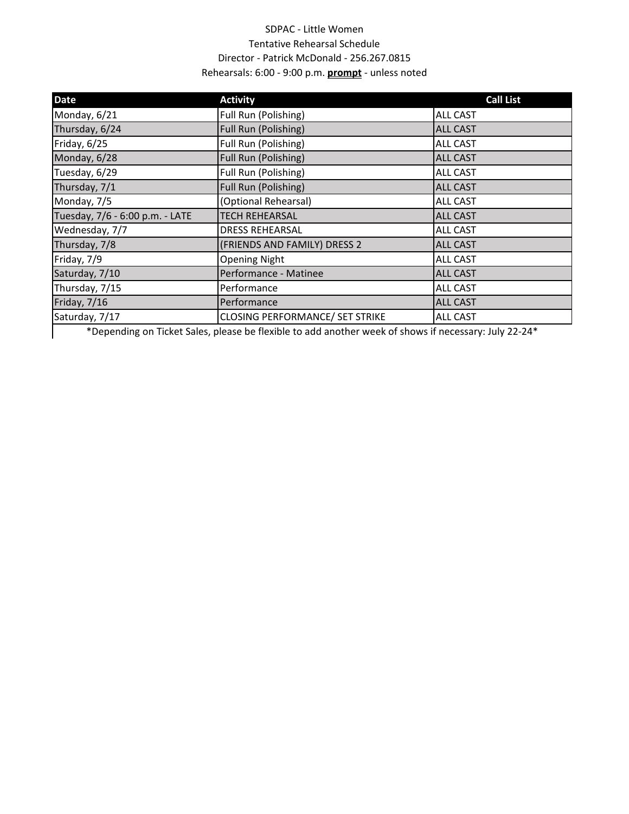# SDPAC ‐ Little Women Tentative Rehearsal Schedule Director ‐ Patrick McDonald ‐ 256.267.0815 Rehearsals: 6:00 ‐ 9:00 p.m. **prompt** ‐ unless noted

| <b>Date</b>                     | <b>Activity</b>                                                                                       | <b>Call List</b> |
|---------------------------------|-------------------------------------------------------------------------------------------------------|------------------|
| Monday, 6/21                    | Full Run (Polishing)                                                                                  | <b>ALL CAST</b>  |
| Thursday, 6/24                  | Full Run (Polishing)                                                                                  | <b>ALL CAST</b>  |
| Friday, 6/25                    | Full Run (Polishing)                                                                                  | <b>ALL CAST</b>  |
| Monday, 6/28                    | Full Run (Polishing)                                                                                  | <b>ALL CAST</b>  |
| Tuesday, 6/29                   | Full Run (Polishing)                                                                                  | <b>ALL CAST</b>  |
| Thursday, 7/1                   | Full Run (Polishing)                                                                                  | <b>ALL CAST</b>  |
| Monday, 7/5                     | (Optional Rehearsal)                                                                                  | <b>ALL CAST</b>  |
| Tuesday, 7/6 - 6:00 p.m. - LATE | <b>TECH REHEARSAL</b>                                                                                 | <b>ALL CAST</b>  |
| Wednesday, 7/7                  | <b>DRESS REHEARSAL</b>                                                                                | <b>ALL CAST</b>  |
| Thursday, 7/8                   | (FRIENDS AND FAMILY) DRESS 2                                                                          | <b>ALL CAST</b>  |
| Friday, 7/9                     | <b>Opening Night</b>                                                                                  | <b>ALL CAST</b>  |
| Saturday, 7/10                  | Performance - Matinee                                                                                 | <b>ALL CAST</b>  |
| Thursday, 7/15                  | Performance                                                                                           | <b>ALL CAST</b>  |
| Friday, 7/16                    | Performance                                                                                           | <b>ALL CAST</b>  |
| Saturday, 7/17                  | <b>CLOSING PERFORMANCE/ SET STRIKE</b>                                                                | <b>ALL CAST</b>  |
|                                 | *Depending on Ticket Sales, please be flexible to add another week of shows if necessary: July 22-24* |                  |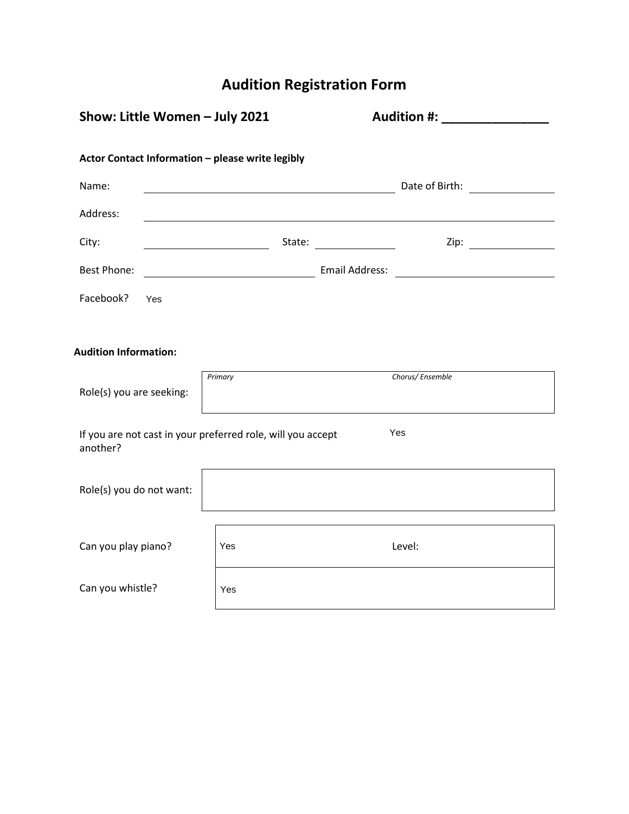# **Audition Registration Form**

| Show: Little Women - July 2021                                                 |                                                                                                                                          |         | <b>Audition #:</b> Audition #:                            |                             |  |  |  |
|--------------------------------------------------------------------------------|------------------------------------------------------------------------------------------------------------------------------------------|---------|-----------------------------------------------------------|-----------------------------|--|--|--|
| Actor Contact Information - please write legibly                               |                                                                                                                                          |         |                                                           |                             |  |  |  |
| Name:                                                                          |                                                                                                                                          |         |                                                           |                             |  |  |  |
| Address:                                                                       |                                                                                                                                          |         |                                                           |                             |  |  |  |
| City:                                                                          |                                                                                                                                          |         | State: $\frac{1}{\sqrt{1-\frac{1}{2}} \cdot \frac{1}{2}}$ | Zip: $\qquad \qquad \qquad$ |  |  |  |
| <b>Best Phone:</b>                                                             | Email Address:<br><u> 1980 - Johann Stoff, deutscher Stoffen und der Stoffen und der Stoffen und der Stoffen und der Stoffen und der</u> |         |                                                           |                             |  |  |  |
| Facebook?                                                                      | Yes                                                                                                                                      |         |                                                           |                             |  |  |  |
|                                                                                |                                                                                                                                          |         |                                                           |                             |  |  |  |
| <b>Audition Information:</b>                                                   |                                                                                                                                          |         |                                                           |                             |  |  |  |
| Role(s) you are seeking:                                                       |                                                                                                                                          | Primary | Chorus/Ensemble                                           |                             |  |  |  |
| Yes<br>If you are not cast in your preferred role, will you accept<br>another? |                                                                                                                                          |         |                                                           |                             |  |  |  |
| Role(s) you do not want:                                                       |                                                                                                                                          |         |                                                           |                             |  |  |  |
| Can you play piano?                                                            |                                                                                                                                          | Yes     | Level:                                                    |                             |  |  |  |
| Can you whistle?                                                               |                                                                                                                                          | Yes     |                                                           |                             |  |  |  |